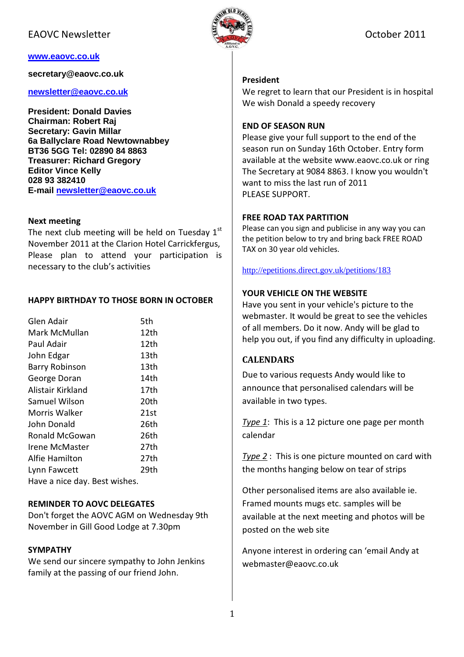### EAOVC Newsletter **ELECTER October 2011**

#### **www.eaovc.co.uk**

**secretary@eaovc.co.uk** 

#### **newsletter@eaovc.co.uk**

**President: Donald Davies Chairman: Robert Raj Secretary: Gavin Millar 6a Ballyclare Road Newtownabbey BT36 5GG Tel: 02890 84 8863 Treasurer: Richard Gregory Editor Vince Kelly 028 93 382410 E-mail newsletter@eaovc.co.uk**

#### Next meeting

The next club meeting will be held on Tuesday  $1<sup>st</sup>$ November 2011 at the Clarion Hotel Carrickfergus, Please plan to attend your participation is necessary to the club's activities

#### HAPPY BIRTHDAY TO THOSE BORN IN OCTOBER

| Glen Adair                    | 5th  |
|-------------------------------|------|
| Mark McMullan                 | 12th |
| Paul Adair                    | 12th |
| John Edgar                    | 13th |
| <b>Barry Robinson</b>         | 13th |
| George Doran                  | 14th |
| Alistair Kirkland             | 17th |
| <b>Samuel Wilson</b>          | 20th |
| Morris Walker                 | 21st |
| John Donald                   | 26th |
| Ronald McGowan                | 26th |
| <b>Irene McMaster</b>         | 27th |
| Alfie Hamilton                | 27th |
| Lynn Fawcett                  | 29th |
| Have a nice day. Best wishes. |      |

#### REMINDER TO AOVC DELEGATES

Don't forget the AOVC AGM on Wednesday 9th November in Gill Good Lodge at 7.30pm

#### SYMPATHY

We send our sincere sympathy to John Jenkins family at the passing of our friend John.



#### President

We regret to learn that our President is in hospital We wish Donald a speedy recovery

#### END OF SEASON RUN

Please give your full support to the end of the season run on Sunday 16th October. Entry form available at the website www.eaovc.co.uk or ring The Secretary at 9084 8863. I know you wouldn't want to miss the last run of 2011 PLEASE SUPPORT.

#### FREE ROAD TAX PARTITION

Please can you sign and publicise in any way you can the petition below to try and bring back FREE ROAD TAX on 30 year old vehicles.

#### http://epetitions.direct.gov.uk/petitions/183

#### YOUR VEHICLE ON THE WEBSITE

Have you sent in your vehicle's picture to the webmaster. It would be great to see the vehicles of all members. Do it now. Andy will be glad to help you out, if you find any difficulty in uploading.

### CALENDARS

Due to various requests Andy would like to announce that personalised calendars will be available in two types.

Type 1: This is a 12 picture one page per month calendar

Type 2 : This is one picture mounted on card with the months hanging below on tear of strips

Other personalised items are also available ie. Framed mounts mugs etc. samples will be available at the next meeting and photos will be posted on the web site

Anyone interest in ordering can 'email Andy at webmaster@eaovc.co.uk